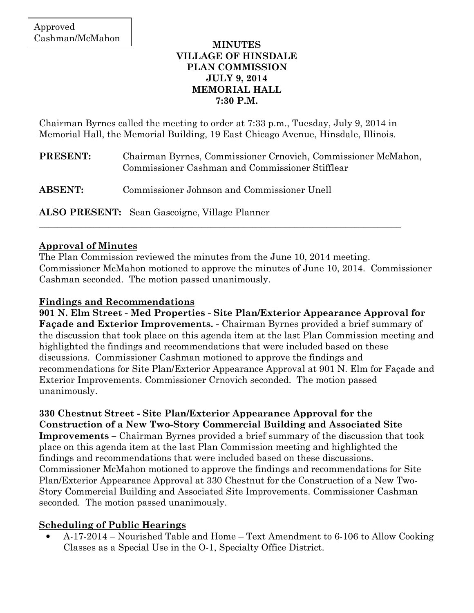### **MINUTES VILLAGE OF HINSDALE PLAN COMMISSION JULY 9, 2014 MEMORIAL HALL 7:30 P.M.**

Chairman Byrnes called the meeting to order at 7:33 p.m., Tuesday, July 9, 2014 in Memorial Hall, the Memorial Building, 19 East Chicago Avenue, Hinsdale, Illinois.

| <b>PRESENT:</b> | Chairman Byrnes, Commissioner Crnovich, Commissioner McMahon,<br>Commissioner Cashman and Commissioner Stifflear |
|-----------------|------------------------------------------------------------------------------------------------------------------|
| <b>ABSENT:</b>  | Commissioner Johnson and Commissioner Unell                                                                      |
|                 | <b>ALSO PRESENT:</b> Sean Gascoigne, Village Planner                                                             |

\_\_\_\_\_\_\_\_\_\_\_\_\_\_\_\_\_\_\_\_\_\_\_\_\_\_\_\_\_\_\_\_\_\_\_\_\_\_\_\_\_\_\_\_\_\_\_\_\_\_\_\_\_\_\_\_\_\_\_\_\_\_\_\_\_\_\_\_\_\_\_\_\_\_\_\_\_\_

## **Approval of Minutes**

The Plan Commission reviewed the minutes from the June 10, 2014 meeting. Commissioner McMahon motioned to approve the minutes of June 10, 2014. Commissioner Cashman seconded. The motion passed unanimously.

### **Findings and Recommendations**

**901 N. Elm Street - Med Properties - Site Plan/Exterior Appearance Approval for Façade and Exterior Improvements. -** Chairman Byrnes provided a brief summary of the discussion that took place on this agenda item at the last Plan Commission meeting and highlighted the findings and recommendations that were included based on these discussions. Commissioner Cashman motioned to approve the findings and recommendations for Site Plan/Exterior Appearance Approval at 901 N. Elm for Façade and Exterior Improvements. Commissioner Crnovich seconded. The motion passed unanimously.

**330 Chestnut Street - Site Plan/Exterior Appearance Approval for the Construction of a New Two-Story Commercial Building and Associated Site Improvements –** Chairman Byrnes provided a brief summary of the discussion that took place on this agenda item at the last Plan Commission meeting and highlighted the findings and recommendations that were included based on these discussions. Commissioner McMahon motioned to approve the findings and recommendations for Site Plan/Exterior Appearance Approval at 330 Chestnut for the Construction of a New Two-Story Commercial Building and Associated Site Improvements. Commissioner Cashman seconded. The motion passed unanimously.

## **Scheduling of Public Hearings**

• A-17-2014 – Nourished Table and Home – Text Amendment to 6-106 to Allow Cooking Classes as a Special Use in the O-1, Specialty Office District.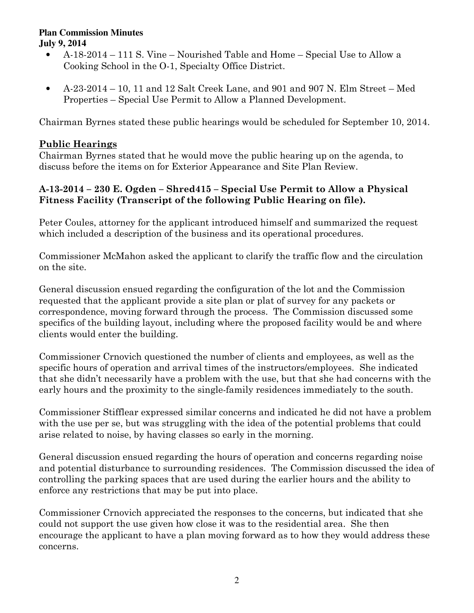- A-18-2014 111 S. Vine Nourished Table and Home Special Use to Allow a Cooking School in the O-1, Specialty Office District.
- A-23-2014 10, 11 and 12 Salt Creek Lane, and 901 and 907 N. Elm Street Med Properties – Special Use Permit to Allow a Planned Development.

Chairman Byrnes stated these public hearings would be scheduled for September 10, 2014.

# **Public Hearings**

Chairman Byrnes stated that he would move the public hearing up on the agenda, to discuss before the items on for Exterior Appearance and Site Plan Review.

# **A-13-2014 – 230 E. Ogden – Shred415 – Special Use Permit to Allow a Physical Fitness Facility (Transcript of the following Public Hearing on file).**

Peter Coules, attorney for the applicant introduced himself and summarized the request which included a description of the business and its operational procedures.

Commissioner McMahon asked the applicant to clarify the traffic flow and the circulation on the site.

General discussion ensued regarding the configuration of the lot and the Commission requested that the applicant provide a site plan or plat of survey for any packets or correspondence, moving forward through the process. The Commission discussed some specifics of the building layout, including where the proposed facility would be and where clients would enter the building.

Commissioner Crnovich questioned the number of clients and employees, as well as the specific hours of operation and arrival times of the instructors/employees. She indicated that she didn't necessarily have a problem with the use, but that she had concerns with the early hours and the proximity to the single-family residences immediately to the south.

Commissioner Stifflear expressed similar concerns and indicated he did not have a problem with the use per se, but was struggling with the idea of the potential problems that could arise related to noise, by having classes so early in the morning.

General discussion ensued regarding the hours of operation and concerns regarding noise and potential disturbance to surrounding residences. The Commission discussed the idea of controlling the parking spaces that are used during the earlier hours and the ability to enforce any restrictions that may be put into place.

Commissioner Crnovich appreciated the responses to the concerns, but indicated that she could not support the use given how close it was to the residential area. She then encourage the applicant to have a plan moving forward as to how they would address these concerns.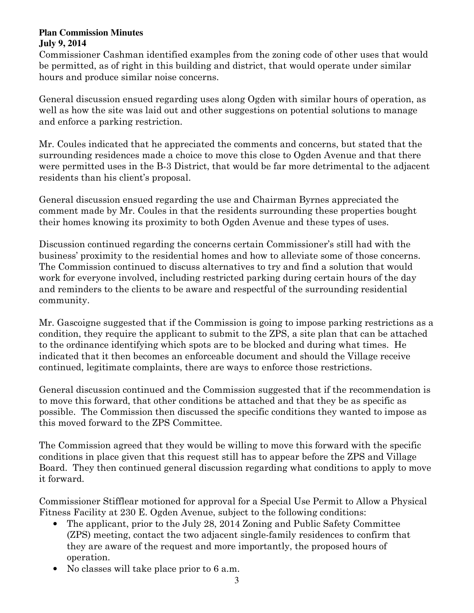Commissioner Cashman identified examples from the zoning code of other uses that would be permitted, as of right in this building and district, that would operate under similar hours and produce similar noise concerns.

General discussion ensued regarding uses along Ogden with similar hours of operation, as well as how the site was laid out and other suggestions on potential solutions to manage and enforce a parking restriction.

Mr. Coules indicated that he appreciated the comments and concerns, but stated that the surrounding residences made a choice to move this close to Ogden Avenue and that there were permitted uses in the B-3 District, that would be far more detrimental to the adjacent residents than his client's proposal.

General discussion ensued regarding the use and Chairman Byrnes appreciated the comment made by Mr. Coules in that the residents surrounding these properties bought their homes knowing its proximity to both Ogden Avenue and these types of uses.

Discussion continued regarding the concerns certain Commissioner's still had with the business' proximity to the residential homes and how to alleviate some of those concerns. The Commission continued to discuss alternatives to try and find a solution that would work for everyone involved, including restricted parking during certain hours of the day and reminders to the clients to be aware and respectful of the surrounding residential community.

Mr. Gascoigne suggested that if the Commission is going to impose parking restrictions as a condition, they require the applicant to submit to the ZPS, a site plan that can be attached to the ordinance identifying which spots are to be blocked and during what times. He indicated that it then becomes an enforceable document and should the Village receive continued, legitimate complaints, there are ways to enforce those restrictions.

General discussion continued and the Commission suggested that if the recommendation is to move this forward, that other conditions be attached and that they be as specific as possible. The Commission then discussed the specific conditions they wanted to impose as this moved forward to the ZPS Committee.

The Commission agreed that they would be willing to move this forward with the specific conditions in place given that this request still has to appear before the ZPS and Village Board. They then continued general discussion regarding what conditions to apply to move it forward.

Commissioner Stifflear motioned for approval for a Special Use Permit to Allow a Physical Fitness Facility at 230 E. Ogden Avenue, subject to the following conditions:

- The applicant, prior to the July 28, 2014 Zoning and Public Safety Committee (ZPS) meeting, contact the two adjacent single-family residences to confirm that they are aware of the request and more importantly, the proposed hours of operation.
- No classes will take place prior to 6 a.m.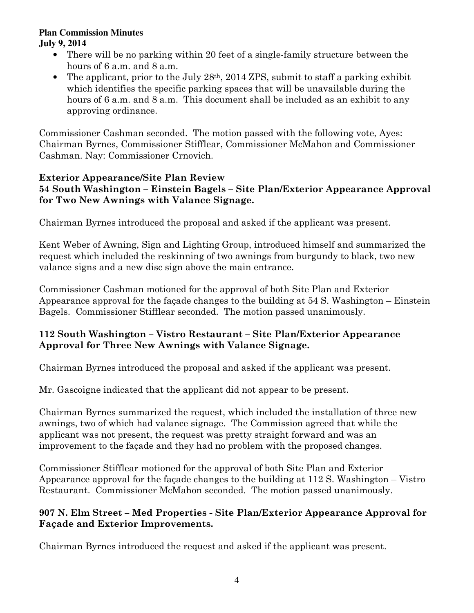- There will be no parking within 20 feet of a single-family structure between the hours of 6 a.m. and 8 a.m.
- The applicant, prior to the July  $28<sup>th</sup>$ ,  $2014$  ZPS, submit to staff a parking exhibit which identifies the specific parking spaces that will be unavailable during the hours of 6 a.m. and 8 a.m. This document shall be included as an exhibit to any approving ordinance.

Commissioner Cashman seconded. The motion passed with the following vote, Ayes: Chairman Byrnes, Commissioner Stifflear, Commissioner McMahon and Commissioner Cashman. Nay: Commissioner Crnovich.

# **Exterior Appearance/Site Plan Review**

# **54 South Washington – Einstein Bagels – Site Plan/Exterior Appearance Approval for Two New Awnings with Valance Signage.**

Chairman Byrnes introduced the proposal and asked if the applicant was present.

Kent Weber of Awning, Sign and Lighting Group, introduced himself and summarized the request which included the reskinning of two awnings from burgundy to black, two new valance signs and a new disc sign above the main entrance.

Commissioner Cashman motioned for the approval of both Site Plan and Exterior Appearance approval for the façade changes to the building at 54 S. Washington – Einstein Bagels. Commissioner Stifflear seconded. The motion passed unanimously.

## **112 South Washington – Vistro Restaurant – Site Plan/Exterior Appearance Approval for Three New Awnings with Valance Signage.**

Chairman Byrnes introduced the proposal and asked if the applicant was present.

Mr. Gascoigne indicated that the applicant did not appear to be present.

Chairman Byrnes summarized the request, which included the installation of three new awnings, two of which had valance signage. The Commission agreed that while the applicant was not present, the request was pretty straight forward and was an improvement to the façade and they had no problem with the proposed changes.

Commissioner Stifflear motioned for the approval of both Site Plan and Exterior Appearance approval for the façade changes to the building at 112 S. Washington – Vistro Restaurant. Commissioner McMahon seconded. The motion passed unanimously.

# **907 N. Elm Street – Med Properties - Site Plan/Exterior Appearance Approval for Façade and Exterior Improvements.**

Chairman Byrnes introduced the request and asked if the applicant was present.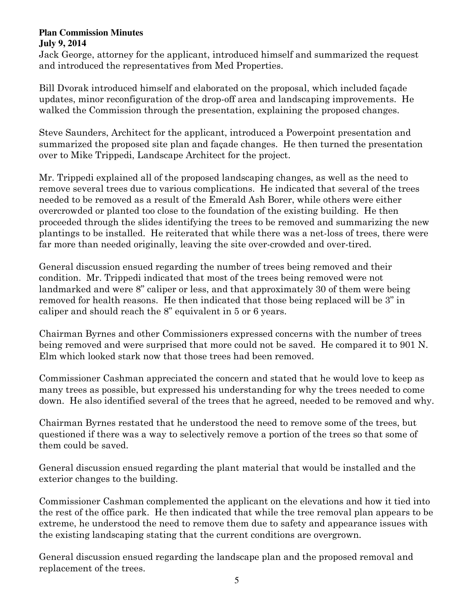Jack George, attorney for the applicant, introduced himself and summarized the request and introduced the representatives from Med Properties.

Bill Dvorak introduced himself and elaborated on the proposal, which included façade updates, minor reconfiguration of the drop-off area and landscaping improvements. He walked the Commission through the presentation, explaining the proposed changes.

Steve Saunders, Architect for the applicant, introduced a Powerpoint presentation and summarized the proposed site plan and façade changes. He then turned the presentation over to Mike Trippedi, Landscape Architect for the project.

Mr. Trippedi explained all of the proposed landscaping changes, as well as the need to remove several trees due to various complications. He indicated that several of the trees needed to be removed as a result of the Emerald Ash Borer, while others were either overcrowded or planted too close to the foundation of the existing building. He then proceeded through the slides identifying the trees to be removed and summarizing the new plantings to be installed. He reiterated that while there was a net-loss of trees, there were far more than needed originally, leaving the site over-crowded and over-tired.

General discussion ensued regarding the number of trees being removed and their condition. Mr. Trippedi indicated that most of the trees being removed were not landmarked and were 8" caliper or less, and that approximately 30 of them were being removed for health reasons. He then indicated that those being replaced will be 3" in caliper and should reach the 8" equivalent in 5 or 6 years.

Chairman Byrnes and other Commissioners expressed concerns with the number of trees being removed and were surprised that more could not be saved. He compared it to 901 N. Elm which looked stark now that those trees had been removed.

Commissioner Cashman appreciated the concern and stated that he would love to keep as many trees as possible, but expressed his understanding for why the trees needed to come down. He also identified several of the trees that he agreed, needed to be removed and why.

Chairman Byrnes restated that he understood the need to remove some of the trees, but questioned if there was a way to selectively remove a portion of the trees so that some of them could be saved.

General discussion ensued regarding the plant material that would be installed and the exterior changes to the building.

Commissioner Cashman complemented the applicant on the elevations and how it tied into the rest of the office park. He then indicated that while the tree removal plan appears to be extreme, he understood the need to remove them due to safety and appearance issues with the existing landscaping stating that the current conditions are overgrown.

General discussion ensued regarding the landscape plan and the proposed removal and replacement of the trees.